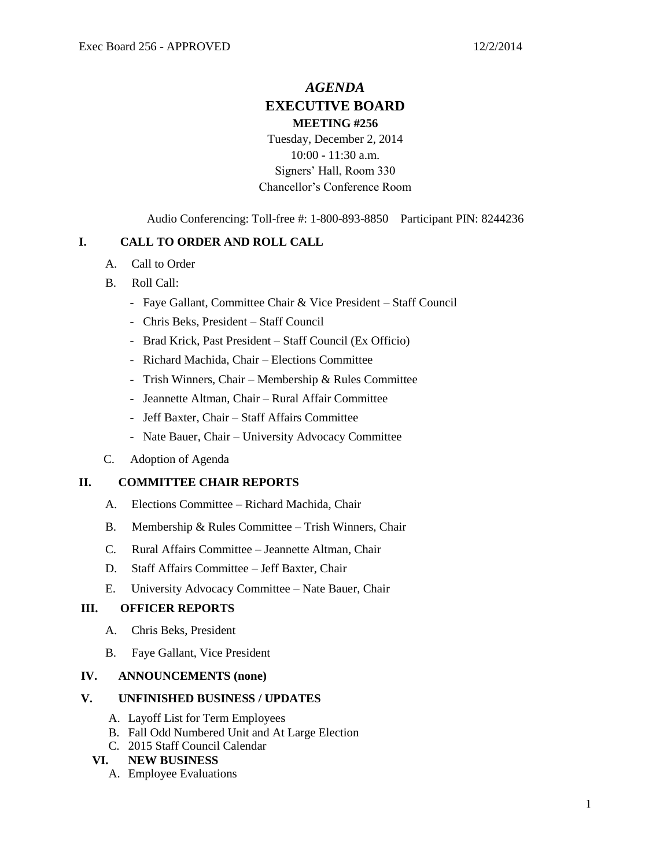# *AGENDA* **EXECUTIVE BOARD MEETING #256**

Tuesday, December 2, 2014 10:00 - 11:30 a.m. Signers' Hall, Room 330 Chancellor's Conference Room

Audio Conferencing: Toll-free #: 1-800-893-8850 Participant PIN: 8244236

## **I. CALL TO ORDER AND ROLL CALL**

- A. Call to Order
- B. Roll Call:
	- Faye Gallant, Committee Chair & Vice President Staff Council
	- Chris Beks, President Staff Council
	- Brad Krick, Past President Staff Council (Ex Officio)
	- Richard Machida, Chair Elections Committee
	- Trish Winners, Chair Membership & Rules Committee
	- Jeannette Altman, Chair Rural Affair Committee
	- Jeff Baxter, Chair Staff Affairs Committee
	- Nate Bauer, Chair University Advocacy Committee
- C. Adoption of Agenda

## **II. COMMITTEE CHAIR REPORTS**

- A. Elections Committee Richard Machida, Chair
- B. Membership & Rules Committee Trish Winners, Chair
- C. Rural Affairs Committee Jeannette Altman, Chair
- D. Staff Affairs Committee Jeff Baxter, Chair
- E. University Advocacy Committee Nate Bauer, Chair

## **III. OFFICER REPORTS**

- A. Chris Beks, President
- B. Faye Gallant, Vice President

#### **IV. ANNOUNCEMENTS (none)**

#### **V. UNFINISHED BUSINESS / UPDATES**

- A. Layoff List for Term Employees
- B. Fall Odd Numbered Unit and At Large Election
- C. 2015 Staff Council Calendar

## **VI. NEW BUSINESS**

A. Employee Evaluations